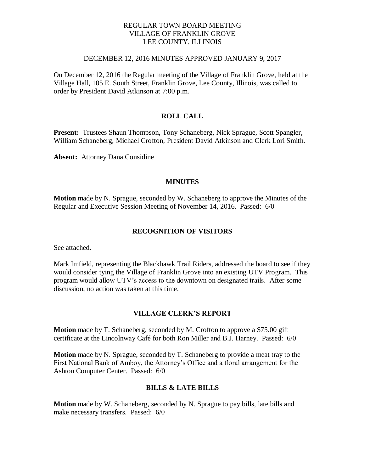# REGULAR TOWN BOARD MEETING VILLAGE OF FRANKLIN GROVE LEE COUNTY, ILLINOIS

#### DECEMBER 12, 2016 MINUTES APPROVED JANUARY 9, 2017

On December 12, 2016 the Regular meeting of the Village of Franklin Grove, held at the Village Hall, 105 E. South Street, Franklin Grove, Lee County, Illinois, was called to order by President David Atkinson at 7:00 p.m.

# **ROLL CALL**

**Present:** Trustees Shaun Thompson, Tony Schaneberg, Nick Sprague, Scott Spangler, William Schaneberg, Michael Crofton, President David Atkinson and Clerk Lori Smith.

**Absent:** Attorney Dana Considine

#### **MINUTES**

**Motion** made by N. Sprague, seconded by W. Schaneberg to approve the Minutes of the Regular and Executive Session Meeting of November 14, 2016. Passed: 6/0

#### **RECOGNITION OF VISITORS**

See attached.

Mark Imfield, representing the Blackhawk Trail Riders, addressed the board to see if they would consider tying the Village of Franklin Grove into an existing UTV Program. This program would allow UTV's access to the downtown on designated trails. After some discussion, no action was taken at this time.

#### **VILLAGE CLERK'S REPORT**

**Motion** made by T. Schaneberg, seconded by M. Crofton to approve a \$75.00 gift certificate at the Lincolnway Café for both Ron Miller and B.J. Harney. Passed: 6/0

**Motion** made by N. Sprague, seconded by T. Schaneberg to provide a meat tray to the First National Bank of Amboy, the Attorney's Office and a floral arrangement for the Ashton Computer Center. Passed: 6/0

#### **BILLS & LATE BILLS**

**Motion** made by W. Schaneberg, seconded by N. Sprague to pay bills, late bills and make necessary transfers. Passed: 6/0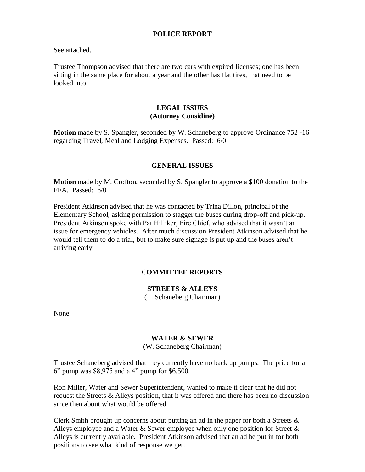### **POLICE REPORT**

See attached.

Trustee Thompson advised that there are two cars with expired licenses; one has been sitting in the same place for about a year and the other has flat tires, that need to be looked into.

#### **LEGAL ISSUES (Attorney Considine)**

**Motion** made by S. Spangler, seconded by W. Schaneberg to approve Ordinance 752 -16 regarding Travel, Meal and Lodging Expenses. Passed: 6/0

#### **GENERAL ISSUES**

**Motion** made by M. Crofton, seconded by S. Spangler to approve a \$100 donation to the FFA. Passed: 6/0

President Atkinson advised that he was contacted by Trina Dillon, principal of the Elementary School, asking permission to stagger the buses during drop-off and pick-up. President Atkinson spoke with Pat Hilliker, Fire Chief, who advised that it wasn't an issue for emergency vehicles. After much discussion President Atkinson advised that he would tell them to do a trial, but to make sure signage is put up and the buses aren't arriving early.

#### C**OMMITTEE REPORTS**

# **STREETS & ALLEYS**

(T. Schaneberg Chairman)

None

#### **WATER & SEWER**

(W. Schaneberg Chairman)

Trustee Schaneberg advised that they currently have no back up pumps. The price for a 6" pump was \$8,975 and a 4" pump for \$6,500.

Ron Miller, Water and Sewer Superintendent, wanted to make it clear that he did not request the Streets & Alleys position, that it was offered and there has been no discussion since then about what would be offered.

Clerk Smith brought up concerns about putting an ad in the paper for both a Streets  $\&$ Alleys employee and a Water & Sewer employee when only one position for Street & Alleys is currently available. President Atkinson advised that an ad be put in for both positions to see what kind of response we get.